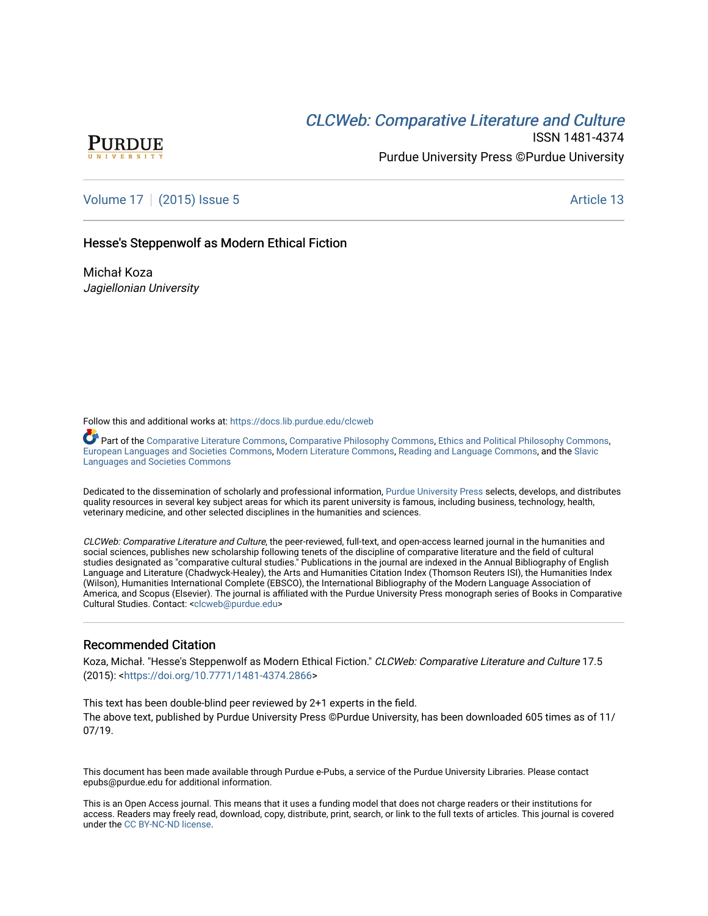# CLCW[eb: Comparative Liter](https://docs.lib.purdue.edu/clcweb)ature and Culture



ISSN 1481-4374 Purdue University Press ©Purdue University

[Volume 17](https://docs.lib.purdue.edu/clcweb/vol17) | [\(2015\) Issue 5](https://docs.lib.purdue.edu/clcweb/vol17/iss5) Article 13

### Hesse's Steppenwolf as Modern Ethical Fiction

Michał Koza Jagiellonian University

Follow this and additional works at: [https://docs.lib.purdue.edu/clcweb](https://docs.lib.purdue.edu/clcweb?utm_source=docs.lib.purdue.edu%2Fclcweb%2Fvol17%2Fiss5%2F13&utm_medium=PDF&utm_campaign=PDFCoverPages)

**Part of the [Comparative Literature Commons,](http://network.bepress.com/hgg/discipline/454?utm_source=docs.lib.purdue.edu%2Fclcweb%2Fvol17%2Fiss5%2F13&utm_medium=PDF&utm_campaign=PDFCoverPages) [Comparative Philosophy Commons,](http://network.bepress.com/hgg/discipline/1343?utm_source=docs.lib.purdue.edu%2Fclcweb%2Fvol17%2Fiss5%2F13&utm_medium=PDF&utm_campaign=PDFCoverPages) [Ethics and Political Philosophy Commons,](http://network.bepress.com/hgg/discipline/529?utm_source=docs.lib.purdue.edu%2Fclcweb%2Fvol17%2Fiss5%2F13&utm_medium=PDF&utm_campaign=PDFCoverPages)** [European Languages and Societies Commons](http://network.bepress.com/hgg/discipline/482?utm_source=docs.lib.purdue.edu%2Fclcweb%2Fvol17%2Fiss5%2F13&utm_medium=PDF&utm_campaign=PDFCoverPages), [Modern Literature Commons](http://network.bepress.com/hgg/discipline/1050?utm_source=docs.lib.purdue.edu%2Fclcweb%2Fvol17%2Fiss5%2F13&utm_medium=PDF&utm_campaign=PDFCoverPages), [Reading and Language Commons,](http://network.bepress.com/hgg/discipline/1037?utm_source=docs.lib.purdue.edu%2Fclcweb%2Fvol17%2Fiss5%2F13&utm_medium=PDF&utm_campaign=PDFCoverPages) and the [Slavic](http://network.bepress.com/hgg/discipline/486?utm_source=docs.lib.purdue.edu%2Fclcweb%2Fvol17%2Fiss5%2F13&utm_medium=PDF&utm_campaign=PDFCoverPages)  [Languages and Societies Commons](http://network.bepress.com/hgg/discipline/486?utm_source=docs.lib.purdue.edu%2Fclcweb%2Fvol17%2Fiss5%2F13&utm_medium=PDF&utm_campaign=PDFCoverPages) 

Dedicated to the dissemination of scholarly and professional information, [Purdue University Press](http://www.thepress.purdue.edu/) selects, develops, and distributes quality resources in several key subject areas for which its parent university is famous, including business, technology, health, veterinary medicine, and other selected disciplines in the humanities and sciences.

CLCWeb: Comparative Literature and Culture, the peer-reviewed, full-text, and open-access learned journal in the humanities and social sciences, publishes new scholarship following tenets of the discipline of comparative literature and the field of cultural studies designated as "comparative cultural studies." Publications in the journal are indexed in the Annual Bibliography of English Language and Literature (Chadwyck-Healey), the Arts and Humanities Citation Index (Thomson Reuters ISI), the Humanities Index (Wilson), Humanities International Complete (EBSCO), the International Bibliography of the Modern Language Association of America, and Scopus (Elsevier). The journal is affiliated with the Purdue University Press monograph series of Books in Comparative Cultural Studies. Contact: [<clcweb@purdue.edu](mailto:clcweb@purdue.edu)>

#### Recommended Citation

Koza, Michał. "Hesse's Steppenwolf as Modern Ethical Fiction." CLCWeb: Comparative Literature and Culture 17.5 (2015): [<https://doi.org/10.7771/1481-4374.2866](https://doi.org/10.7771/1481-4374.2866)>

This text has been double-blind peer reviewed by 2+1 experts in the field. The above text, published by Purdue University Press ©Purdue University, has been downloaded 605 times as of 11/ 07/19.

This document has been made available through Purdue e-Pubs, a service of the Purdue University Libraries. Please contact epubs@purdue.edu for additional information.

This is an Open Access journal. This means that it uses a funding model that does not charge readers or their institutions for access. Readers may freely read, download, copy, distribute, print, search, or link to the full texts of articles. This journal is covered under the [CC BY-NC-ND license.](https://creativecommons.org/licenses/by-nc-nd/4.0/)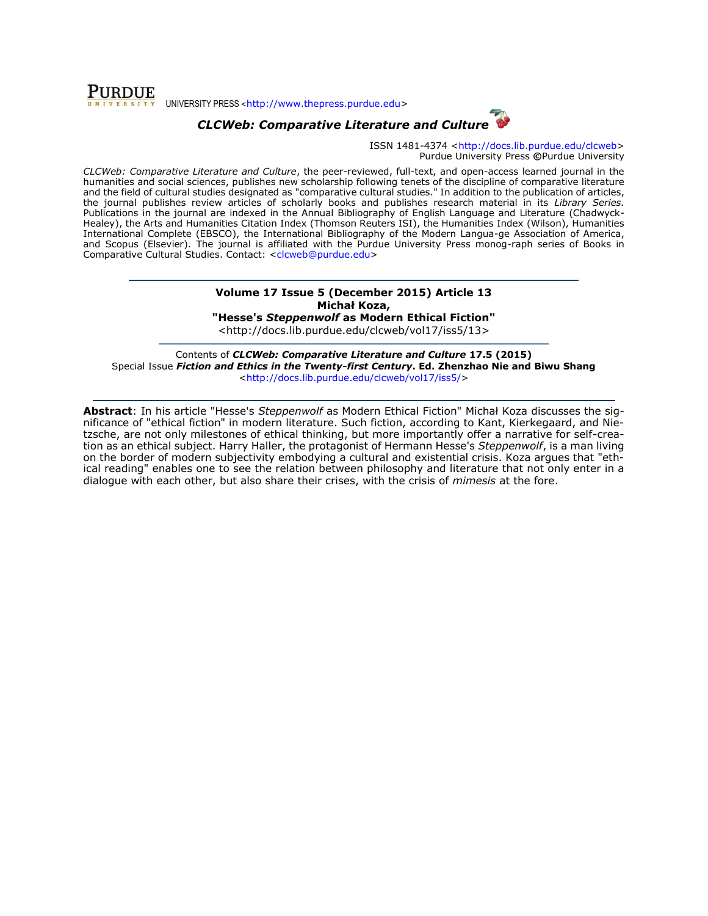

## *CLCWeb: Comparative Literature and Culture*

ISSN 1481-4374 [<http://docs.lib.purdue.edu/clcweb>](http://docs.lib.purdue.edu/clcweb) Purdue University Press **©**Purdue University

*CLCWeb: Comparative Literature and Culture*, the peer-reviewed, full-text, and open-access learned journal in the humanities and social sciences, publishes new scholarship following tenets of the discipline of comparative literature and the field of cultural studies designated as "comparative cultural studies." In addition to the publication of articles, the journal publishes review articles of scholarly books and publishes research material in its *Library Series.*  Publications in the journal are indexed in the Annual Bibliography of English Language and Literature (Chadwyck-Healey), the Arts and Humanities Citation Index (Thomson Reuters ISI), the Humanities Index (Wilson), Humanities International Complete (EBSCO), the International Bibliography of the Modern Langua-ge Association of America, and Scopus (Elsevier). The journal is affiliated with the Purdue University Press monog-raph series of Books in Comparative Cultural Studies. Contact: [<clcweb@purdue.edu>](mailto:clcweb@purdue.edu)

#### **Volume 17 Issue 5 (December 2015) Article 13 Michał Koza,**

**"Hesse's** *Steppenwolf* **as Modern Ethical Fiction"** <http://docs.lib.purdue.edu/clcweb/vol17/iss5/13>

Contents of *CLCWeb: Comparative Literature and Culture* **17.5 (2015)** Special Issue *Fiction and Ethics in the Twenty-first Century***. Ed. Zhenzhao Nie and Biwu Shang** [<http://docs.lib.purdue.edu/clcweb/vol17/iss5/>](http://docs.lib.purdue.edu/clcweb/vol17/iss5/)

**Abstract**: In his article "Hesse's *Steppenwolf* as Modern Ethical Fiction" Michał Koza discusses the significance of "ethical fiction" in modern literature. Such fiction, according to Kant, Kierkegaard, and Nietzsche, are not only milestones of ethical thinking, but more importantly offer a narrative for self-creation as an ethical subject. Harry Haller, the protagonist of Hermann Hesse's *Steppenwolf*, is a man living on the border of modern subjectivity embodying a cultural and existential crisis. Koza argues that "ethical reading" enables one to see the relation between philosophy and literature that not only enter in a dialogue with each other, but also share their crises, with the crisis of *mimesis* at the fore.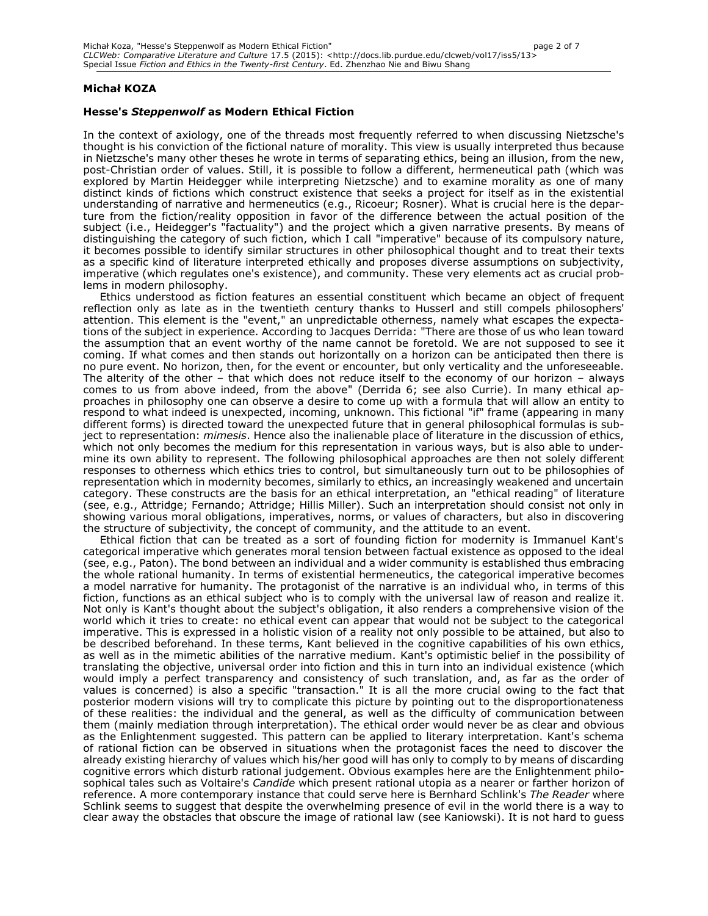#### **Michał KOZA**

#### **Hesse's** *Steppenwolf* **as Modern Ethical Fiction**

In the context of axiology, one of the threads most frequently referred to when discussing Nietzsche's thought is his conviction of the fictional nature of morality. This view is usually interpreted thus because in Nietzsche's many other theses he wrote in terms of separating ethics, being an illusion, from the new, post-Christian order of values. Still, it is possible to follow a different, hermeneutical path (which was explored by Martin Heidegger while interpreting Nietzsche) and to examine morality as one of many distinct kinds of fictions which construct existence that seeks a project for itself as in the existential understanding of narrative and hermeneutics (e.g., Ricoeur; Rosner). What is crucial here is the departure from the fiction/reality opposition in favor of the difference between the actual position of the subject (i.e., Heidegger's "factuality") and the project which a given narrative presents. By means of distinguishing the category of such fiction, which I call "imperative" because of its compulsory nature, it becomes possible to identify similar structures in other philosophical thought and to treat their texts as a specific kind of literature interpreted ethically and proposes diverse assumptions on subjectivity, imperative (which regulates one's existence), and community. These very elements act as crucial problems in modern philosophy.

Ethics understood as fiction features an essential constituent which became an object of frequent reflection only as late as in the twentieth century thanks to Husserl and still compels philosophers' attention. This element is the "event," an unpredictable otherness, namely what escapes the expectations of the subject in experience. According to Jacques Derrida: "There are those of us who lean toward the assumption that an event worthy of the name cannot be foretold. We are not supposed to see it coming. If what comes and then stands out horizontally on a horizon can be anticipated then there is no pure event. No horizon, then, for the event or encounter, but only verticality and the unforeseeable. The alterity of the other – that which does not reduce itself to the economy of our horizon – always comes to us from above indeed, from the above" (Derrida 6; see also Currie). In many ethical approaches in philosophy one can observe a desire to come up with a formula that will allow an entity to respond to what indeed is unexpected, incoming, unknown. This fictional "if" frame (appearing in many different forms) is directed toward the unexpected future that in general philosophical formulas is subject to representation: *mimesis*. Hence also the inalienable place of literature in the discussion of ethics, which not only becomes the medium for this representation in various ways, but is also able to undermine its own ability to represent. The following philosophical approaches are then not solely different responses to otherness which ethics tries to control, but simultaneously turn out to be philosophies of representation which in modernity becomes, similarly to ethics, an increasingly weakened and uncertain category. These constructs are the basis for an ethical interpretation, an "ethical reading" of literature (see, e.g., Attridge; Fernando; Attridge; Hillis Miller). Such an interpretation should consist not only in showing various moral obligations, imperatives, norms, or values of characters, but also in discovering the structure of subjectivity, the concept of community, and the attitude to an event.

Ethical fiction that can be treated as a sort of founding fiction for modernity is Immanuel Kant's categorical imperative which generates moral tension between factual existence as opposed to the ideal (see, e.g., Paton). The bond between an individual and a wider community is established thus embracing the whole rational humanity. In terms of existential hermeneutics, the categorical imperative becomes a model narrative for humanity. The protagonist of the narrative is an individual who, in terms of this fiction, functions as an ethical subject who is to comply with the universal law of reason and realize it. Not only is Kant's thought about the subject's obligation, it also renders a comprehensive vision of the world which it tries to create: no ethical event can appear that would not be subject to the categorical imperative. This is expressed in a holistic vision of a reality not only possible to be attained, but also to be described beforehand. In these terms, Kant believed in the cognitive capabilities of his own ethics, as well as in the mimetic abilities of the narrative medium. Kant's optimistic belief in the possibility of translating the objective, universal order into fiction and this in turn into an individual existence (which would imply a perfect transparency and consistency of such translation, and, as far as the order of values is concerned) is also a specific "transaction." It is all the more crucial owing to the fact that posterior modern visions will try to complicate this picture by pointing out to the disproportionateness of these realities: the individual and the general, as well as the difficulty of communication between them (mainly mediation through interpretation). The ethical order would never be as clear and obvious as the Enlightenment suggested. This pattern can be applied to literary interpretation. Kant's schema of rational fiction can be observed in situations when the protagonist faces the need to discover the already existing hierarchy of values which his/her good will has only to comply to by means of discarding cognitive errors which disturb rational judgement. Obvious examples here are the Enlightenment philosophical tales such as Voltaire's *Candide* which present rational utopia as a nearer or farther horizon of reference. A more contemporary instance that could serve here is Bernhard Schlink's *The Reader* where Schlink seems to suggest that despite the overwhelming presence of evil in the world there is a way to clear away the obstacles that obscure the image of rational law (see Kaniowski). It is not hard to guess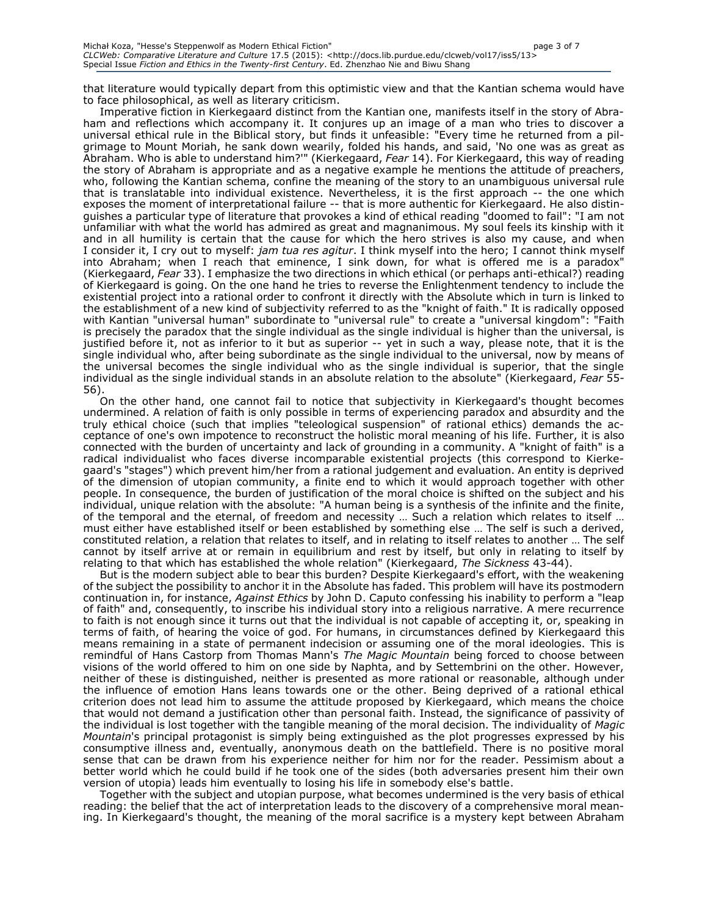that literature would typically depart from this optimistic view and that the Kantian schema would have to face philosophical, as well as literary criticism.

Imperative fiction in Kierkegaard distinct from the Kantian one, manifests itself in the story of Abraham and reflections which accompany it. It conjures up an image of a man who tries to discover a universal ethical rule in the Biblical story, but finds it unfeasible: "Every time he returned from a pilgrimage to Mount Moriah, he sank down wearily, folded his hands, and said, 'No one was as great as Abraham. Who is able to understand him?'" (Kierkegaard, *Fear* 14). For Kierkegaard, this way of reading the story of Abraham is appropriate and as a negative example he mentions the attitude of preachers, who, following the Kantian schema, confine the meaning of the story to an unambiguous universal rule that is translatable into individual existence. Nevertheless, it is the first approach -- the one which exposes the moment of interpretational failure -- that is more authentic for Kierkegaard. He also distinguishes a particular type of literature that provokes a kind of ethical reading "doomed to fail": "I am not unfamiliar with what the world has admired as great and magnanimous. My soul feels its kinship with it and in all humility is certain that the cause for which the hero strives is also my cause, and when I consider it, I cry out to myself: *jam tua res agitur*. I think myself into the hero; I cannot think myself into Abraham; when I reach that eminence, I sink down, for what is offered me is a paradox" (Kierkegaard, *Fear* 33). I emphasize the two directions in which ethical (or perhaps anti-ethical?) reading of Kierkegaard is going. On the one hand he tries to reverse the Enlightenment tendency to include the existential project into a rational order to confront it directly with the Absolute which in turn is linked to the establishment of a new kind of subjectivity referred to as the "knight of faith." It is radically opposed with Kantian "universal human" subordinate to "universal rule" to create a "universal kingdom": "Faith is precisely the paradox that the single individual as the single individual is higher than the universal, is justified before it, not as inferior to it but as superior -- yet in such a way, please note, that it is the single individual who, after being subordinate as the single individual to the universal, now by means of the universal becomes the single individual who as the single individual is superior, that the single individual as the single individual stands in an absolute relation to the absolute" (Kierkegaard, *Fear* 55- 56).

On the other hand, one cannot fail to notice that subjectivity in Kierkegaard's thought becomes undermined. A relation of faith is only possible in terms of experiencing paradox and absurdity and the truly ethical choice (such that implies "teleological suspension" of rational ethics) demands the acceptance of one's own impotence to reconstruct the holistic moral meaning of his life. Further, it is also connected with the burden of uncertainty and lack of grounding in a community. A "knight of faith" is a radical individualist who faces diverse incomparable existential projects (this correspond to Kierkegaard's "stages") which prevent him/her from a rational judgement and evaluation. An entity is deprived of the dimension of utopian community, a finite end to which it would approach together with other people. In consequence, the burden of justification of the moral choice is shifted on the subject and his individual, unique relation with the absolute: "A human being is a synthesis of the infinite and the finite, of the temporal and the eternal, of freedom and necessity … Such a relation which relates to itself … must either have established itself or been established by something else … The self is such a derived, constituted relation, a relation that relates to itself, and in relating to itself relates to another … The self cannot by itself arrive at or remain in equilibrium and rest by itself, but only in relating to itself by relating to that which has established the whole relation" (Kierkegaard, *The Sickness* 43-44).

But is the modern subject able to bear this burden? Despite Kierkegaard's effort, with the weakening of the subject the possibility to anchor it in the Absolute has faded. This problem will have its postmodern continuation in, for instance, *Against Ethics* by John D. Caputo confessing his inability to perform a "leap of faith" and, consequently, to inscribe his individual story into a religious narrative. A mere recurrence to faith is not enough since it turns out that the individual is not capable of accepting it, or, speaking in terms of faith, of hearing the voice of god. For humans, in circumstances defined by Kierkegaard this means remaining in a state of permanent indecision or assuming one of the moral ideologies. This is remindful of Hans Castorp from Thomas Mann's *The Magic Mountain* being forced to choose between visions of the world offered to him on one side by Naphta, and by Settembrini on the other. However, neither of these is distinguished, neither is presented as more rational or reasonable, although under the influence of emotion Hans leans towards one or the other. Being deprived of a rational ethical criterion does not lead him to assume the attitude proposed by Kierkegaard, which means the choice that would not demand a justification other than personal faith. Instead, the significance of passivity of the individual is lost together with the tangible meaning of the moral decision. The individuality of *Magic Mountain*'s principal protagonist is simply being extinguished as the plot progresses expressed by his consumptive illness and, eventually, anonymous death on the battlefield. There is no positive moral sense that can be drawn from his experience neither for him nor for the reader. Pessimism about a better world which he could build if he took one of the sides (both adversaries present him their own version of utopia) leads him eventually to losing his life in somebody else's battle.

Together with the subject and utopian purpose, what becomes undermined is the very basis of ethical reading: the belief that the act of interpretation leads to the discovery of a comprehensive moral meaning. In Kierkegaard's thought, the meaning of the moral sacrifice is a mystery kept between Abraham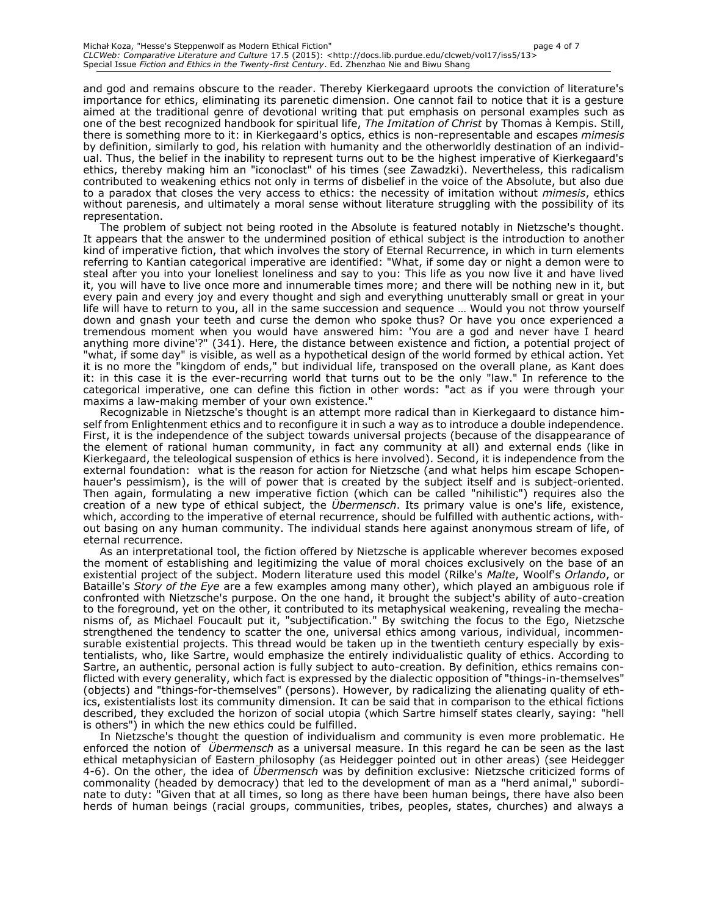and god and remains obscure to the reader. Thereby Kierkegaard uproots the conviction of literature's importance for ethics, eliminating its parenetic dimension. One cannot fail to notice that it is a gesture aimed at the traditional genre of devotional writing that put emphasis on personal examples such as one of the best recognized handbook for spiritual life, *The Imitation of Christ* by Thomas à Kempis. Still, there is something more to it: in Kierkegaard's optics, ethics is non-representable and escapes *mimesis*  by definition, similarly to god, his relation with humanity and the otherworldly destination of an individual. Thus, the belief in the inability to represent turns out to be the highest imperative of Kierkegaard's ethics, thereby making him an "iconoclast" of his times (see Zawadzki). Nevertheless, this radicalism contributed to weakening ethics not only in terms of disbelief in the voice of the Absolute, but also due to a paradox that closes the very access to ethics: the necessity of imitation without *mimesis*, ethics without parenesis, and ultimately a moral sense without literature struggling with the possibility of its representation.

The problem of subject not being rooted in the Absolute is featured notably in Nietzsche's thought. It appears that the answer to the undermined position of ethical subject is the introduction to another kind of imperative fiction, that which involves the story of Eternal Recurrence, in which in turn elements referring to Kantian categorical imperative are identified: "What, if some day or night a demon were to steal after you into your loneliest loneliness and say to you: This life as you now live it and have lived it, you will have to live once more and innumerable times more; and there will be nothing new in it, but every pain and every joy and every thought and sigh and everything unutterably small or great in your life will have to return to you, all in the same succession and sequence … Would you not throw yourself down and gnash your teeth and curse the demon who spoke thus? Or have you once experienced a tremendous moment when you would have answered him: 'You are a god and never have I heard anything more divine'?" (341). Here, the distance between existence and fiction, a potential project of "what, if some day" is visible, as well as a hypothetical design of the world formed by ethical action. Yet it is no more the "kingdom of ends," but individual life, transposed on the overall plane, as Kant does it: in this case it is the ever-recurring world that turns out to be the only "law." In reference to the categorical imperative, one can define this fiction in other words: "act as if you were through your maxims a law-making member of your own existence."

Recognizable in Nietzsche's thought is an attempt more radical than in Kierkegaard to distance himself from Enlightenment ethics and to reconfigure it in such a way as to introduce a double independence. First, it is the independence of the subject towards universal projects (because of the disappearance of the element of rational human community, in fact any community at all) and external ends (like in Kierkegaard, the teleological suspension of ethics is here involved). Second, it is independence from the external foundation: what is the reason for action for Nietzsche (and what helps him escape Schopenhauer's pessimism), is the will of power that is created by the subject itself and is subject-oriented. Then again, formulating a new imperative fiction (which can be called "nihilistic") requires also the creation of a new type of ethical subject, the *Übermensch*. Its primary value is one's life, existence, which, according to the imperative of eternal recurrence, should be fulfilled with authentic actions, without basing on any human community. The individual stands here against anonymous stream of life, of eternal recurrence.

As an interpretational tool, the fiction offered by Nietzsche is applicable wherever becomes exposed the moment of establishing and legitimizing the value of moral choices exclusively on the base of an existential project of the subject. Modern literature used this model (Rilke's *Malte*, Woolf's *Orlando*, or Bataille's *Story of the Eye* are a few examples among many other), which played an ambiguous role if confronted with Nietzsche's purpose. On the one hand, it brought the subject's ability of auto-creation to the foreground, yet on the other, it contributed to its metaphysical weakening, revealing the mechanisms of, as Michael Foucault put it, "subjectification." By switching the focus to the Ego, Nietzsche strengthened the tendency to scatter the one, universal ethics among various, individual, incommensurable existential projects. This thread would be taken up in the twentieth century especially by existentialists, who, like Sartre, would emphasize the entirely individualistic quality of ethics. According to Sartre, an authentic, personal action is fully subject to auto-creation. By definition, ethics remains conflicted with every generality, which fact is expressed by the dialectic opposition of "things-in-themselves" (objects) and "things-for-themselves" (persons). However, by radicalizing the alienating quality of ethics, existentialists lost its community dimension. It can be said that in comparison to the ethical fictions described, they excluded the horizon of social utopia (which Sartre himself states clearly, saying: "hell is others") in which the new ethics could be fulfilled.

In Nietzsche's thought the question of individualism and community is even more problematic. He enforced the notion of *Übermensch* as a universal measure. In this regard he can be seen as the last ethical metaphysician of Eastern philosophy (as Heidegger pointed out in other areas) (see Heidegger 4-6). On the other, the idea of *Übermensch* was by definition exclusive: Nietzsche criticized forms of commonality (headed by democracy) that led to the development of man as a "herd animal," subordinate to duty: "Given that at all times, so long as there have been human beings, there have also been herds of human beings (racial groups, communities, tribes, peoples, states, churches) and always a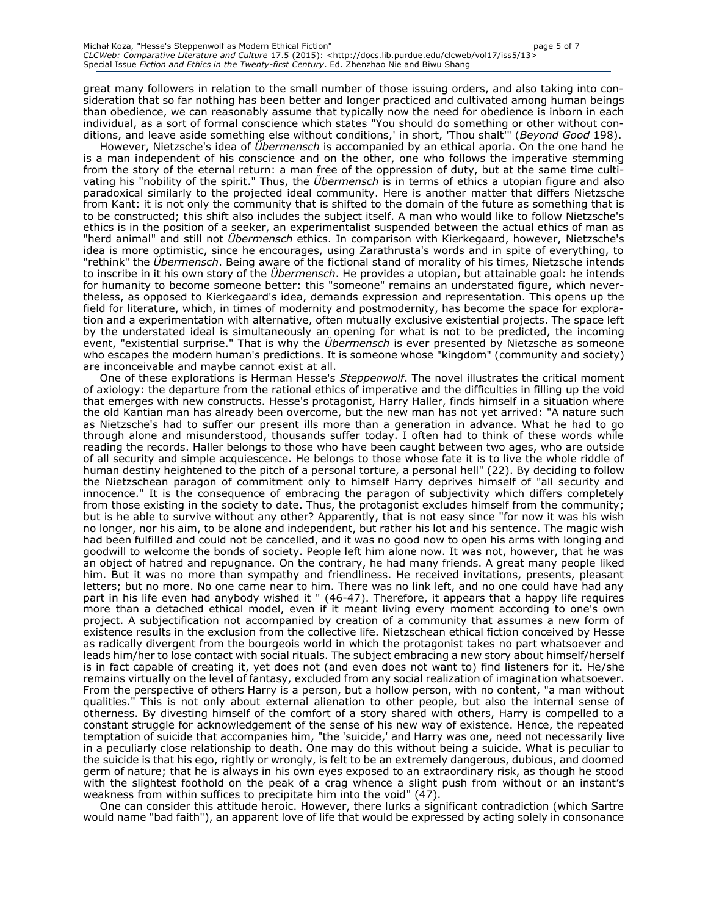great many followers in relation to the small number of those issuing orders, and also taking into consideration that so far nothing has been better and longer practiced and cultivated among human beings than obedience, we can reasonably assume that typically now the need for obedience is inborn in each individual, as a sort of formal conscience which states "You should do something or other without conditions, and leave aside something else without conditions,' in short, 'Thou shalt'" (*Beyond Good* 198).

However, Nietzsche's idea of *Übermensch* is accompanied by an ethical aporia. On the one hand he is a man independent of his conscience and on the other, one who follows the imperative stemming from the story of the eternal return: a man free of the oppression of duty, but at the same time cultivating his "nobility of the spirit." Thus, the *Übermensch* is in terms of ethics a utopian figure and also paradoxical similarly to the projected ideal community. Here is another matter that differs Nietzsche from Kant: it is not only the community that is shifted to the domain of the future as something that is to be constructed; this shift also includes the subject itself. A man who would like to follow Nietzsche's ethics is in the position of a seeker, an experimentalist suspended between the actual ethics of man as "herd animal" and still not *Übermensch* ethics. In comparison with Kierkegaard, however, Nietzsche's idea is more optimistic, since he encourages, using Zarathrusta's words and in spite of everything, to "rethink" the *Übermensch*. Being aware of the fictional stand of morality of his times, Nietzsche intends to inscribe in it his own story of the *Übermensch*. He provides a utopian, but attainable goal: he intends for humanity to become someone better: this "someone" remains an understated figure, which nevertheless, as opposed to Kierkegaard's idea, demands expression and representation. This opens up the field for literature, which, in times of modernity and postmodernity, has become the space for exploration and a experimentation with alternative, often mutually exclusive existential projects. The space left by the understated ideal is simultaneously an opening for what is not to be predicted, the incoming event, "existential surprise." That is why the *Übermensch* is ever presented by Nietzsche as someone who escapes the modern human's predictions. It is someone whose "kingdom" (community and society) are inconceivable and maybe cannot exist at all.

One of these explorations is Herman Hesse's *Steppenwolf*. The novel illustrates the critical moment of axiology: the departure from the rational ethics of imperative and the difficulties in filling up the void that emerges with new constructs. Hesse's protagonist, Harry Haller, finds himself in a situation where the old Kantian man has already been overcome, but the new man has not yet arrived: "A nature such as Nietzsche's had to suffer our present ills more than a generation in advance. What he had to go through alone and misunderstood, thousands suffer today. I often had to think of these words while reading the records. Haller belongs to those who have been caught between two ages, who are outside of all security and simple acquiescence. He belongs to those whose fate it is to live the whole riddle of human destiny heightened to the pitch of a personal torture, a personal hell" (22). By deciding to follow the Nietzschean paragon of commitment only to himself Harry deprives himself of "all security and innocence." It is the consequence of embracing the paragon of subjectivity which differs completely from those existing in the society to date. Thus, the protagonist excludes himself from the community; but is he able to survive without any other? Apparently, that is not easy since "for now it was his wish no longer, nor his aim, to be alone and independent, but rather his lot and his sentence. The magic wish had been fulfilled and could not be cancelled, and it was no good now to open his arms with longing and goodwill to welcome the bonds of society. People left him alone now. It was not, however, that he was an object of hatred and repugnance. On the contrary, he had many friends. A great many people liked him. But it was no more than sympathy and friendliness. He received invitations, presents, pleasant letters; but no more. No one came near to him. There was no link left, and no one could have had any part in his life even had anybody wished it " (46-47). Therefore, it appears that a happy life requires more than a detached ethical model, even if it meant living every moment according to one's own project. A subjectification not accompanied by creation of a community that assumes a new form of existence results in the exclusion from the collective life. Nietzschean ethical fiction conceived by Hesse as radically divergent from the bourgeois world in which the protagonist takes no part whatsoever and leads him/her to lose contact with social rituals. The subject embracing a new story about himself/herself is in fact capable of creating it, yet does not (and even does not want to) find listeners for it. He/she remains virtually on the level of fantasy, excluded from any social realization of imagination whatsoever. From the perspective of others Harry is a person, but a hollow person, with no content, "a man without qualities." This is not only about external alienation to other people, but also the internal sense of otherness. By divesting himself of the comfort of a story shared with others, Harry is compelled to a constant struggle for acknowledgement of the sense of his new way of existence. Hence, the repeated temptation of suicide that accompanies him, "the 'suicide,' and Harry was one, need not necessarily live in a peculiarly close relationship to death. One may do this without being a suicide. What is peculiar to the suicide is that his ego, rightly or wrongly, is felt to be an extremely dangerous, dubious, and doomed germ of nature; that he is always in his own eyes exposed to an extraordinary risk, as though he stood with the slightest foothold on the peak of a crag whence a slight push from without or an instant's weakness from within suffices to precipitate him into the void" (47).

One can consider this attitude heroic. However, there lurks a significant contradiction (which Sartre would name "bad faith"), an apparent love of life that would be expressed by acting solely in consonance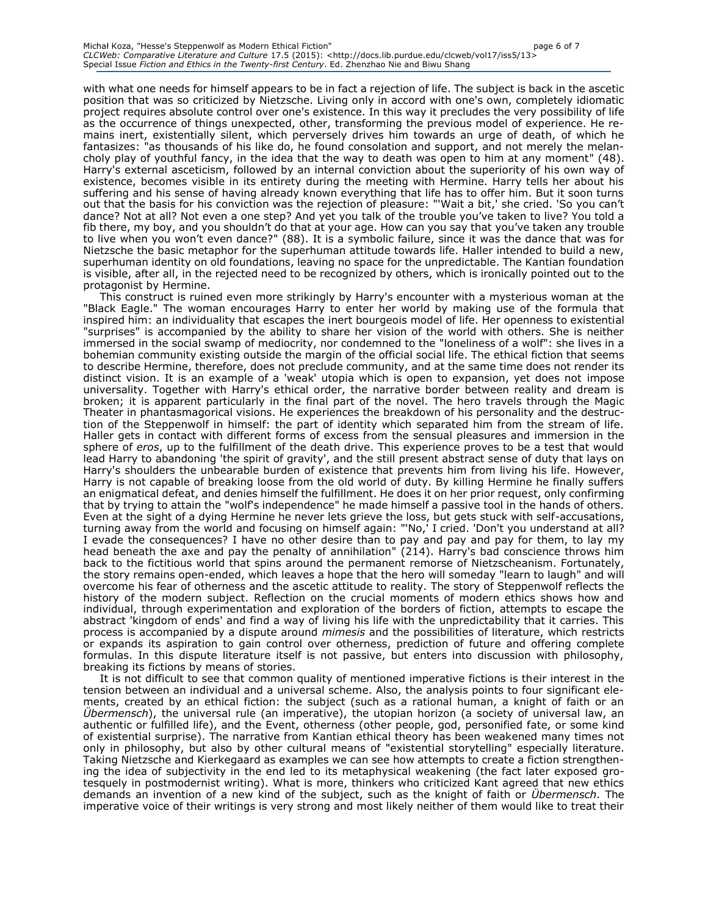#### Michał Koza, "Hesse's Steppenwolf as Modern Ethical Fiction" page 6 of 7 *CLCWeb: Comparative Literature and Culture* 17.5 (2015): <http://docs.lib.purdue.edu/clcweb/vol17/iss5/13> Special Issue *Fiction and Ethics in the Twenty-first Century*. Ed. Zhenzhao Nie and Biwu Shang

with what one needs for himself appears to be in fact a rejection of life. The subject is back in the ascetic position that was so criticized by Nietzsche. Living only in accord with one's own, completely idiomatic project requires absolute control over one's existence. In this way it precludes the very possibility of life as the occurrence of things unexpected, other, transforming the previous model of experience. He remains inert, existentially silent, which perversely drives him towards an urge of death, of which he fantasizes: "as thousands of his like do, he found consolation and support, and not merely the melancholy play of youthful fancy, in the idea that the way to death was open to him at any moment" (48). Harry's external asceticism, followed by an internal conviction about the superiority of his own way of existence, becomes visible in its entirety during the meeting with Hermine. Harry tells her about his suffering and his sense of having already known everything that life has to offer him. But it soon turns out that the basis for his conviction was the rejection of pleasure: "'Wait a bit,' she cried. 'So you can't dance? Not at all? Not even a one step? And yet you talk of the trouble you've taken to live? You told a fib there, my boy, and you shouldn't do that at your age. How can you say that you've taken any trouble to live when you won't even dance?" (88). It is a symbolic failure, since it was the dance that was for Nietzsche the basic metaphor for the superhuman attitude towards life. Haller intended to build a new, superhuman identity on old foundations, leaving no space for the unpredictable. The Kantian foundation is visible, after all, in the rejected need to be recognized by others, which is ironically pointed out to the protagonist by Hermine.

This construct is ruined even more strikingly by Harry's encounter with a mysterious woman at the "Black Eagle." The woman encourages Harry to enter her world by making use of the formula that inspired him: an individuality that escapes the inert bourgeois model of life. Her openness to existential "surprises" is accompanied by the ability to share her vision of the world with others. She is neither immersed in the social swamp of mediocrity, nor condemned to the "loneliness of a wolf": she lives in a bohemian community existing outside the margin of the official social life. The ethical fiction that seems to describe Hermine, therefore, does not preclude community, and at the same time does not render its distinct vision. It is an example of a 'weak' utopia which is open to expansion, yet does not impose universality. Together with Harry's ethical order, the narrative border between reality and dream is broken; it is apparent particularly in the final part of the novel. The hero travels through the Magic Theater in phantasmagorical visions. He experiences the breakdown of his personality and the destruction of the Steppenwolf in himself: the part of identity which separated him from the stream of life. Haller gets in contact with different forms of excess from the sensual pleasures and immersion in the sphere of *eros*, up to the fulfillment of the death drive. This experience proves to be a test that would lead Harry to abandoning 'the spirit of gravity', and the still present abstract sense of duty that lays on Harry's shoulders the unbearable burden of existence that prevents him from living his life. However, Harry is not capable of breaking loose from the old world of duty. By killing Hermine he finally suffers an enigmatical defeat, and denies himself the fulfillment. He does it on her prior request, only confirming that by trying to attain the "wolf's independence" he made himself a passive tool in the hands of others. Even at the sight of a dying Hermine he never lets grieve the loss, but gets stuck with self-accusations, turning away from the world and focusing on himself again: "'No,' I cried. 'Don't you understand at all? I evade the consequences? I have no other desire than to pay and pay and pay for them, to lay my head beneath the axe and pay the penalty of annihilation" (214). Harry's bad conscience throws him back to the fictitious world that spins around the permanent remorse of Nietzscheanism. Fortunately, the story remains open-ended, which leaves a hope that the hero will someday "learn to laugh" and will overcome his fear of otherness and the ascetic attitude to reality. The story of Steppenwolf reflects the history of the modern subject. Reflection on the crucial moments of modern ethics shows how and individual, through experimentation and exploration of the borders of fiction, attempts to escape the abstract 'kingdom of ends' and find a way of living his life with the unpredictability that it carries. This process is accompanied by a dispute around *mimesis* and the possibilities of literature, which restricts or expands its aspiration to gain control over otherness, prediction of future and offering complete formulas. In this dispute literature itself is not passive, but enters into discussion with philosophy, breaking its fictions by means of stories.

It is not difficult to see that common quality of mentioned imperative fictions is their interest in the tension between an individual and a universal scheme. Also, the analysis points to four significant elements, created by an ethical fiction: the subject (such as a rational human, a knight of faith or an *Übermensch*), the universal rule (an imperative), the utopian horizon (a society of universal law, an authentic or fulfilled life), and the Event, otherness (other people, god, personified fate, or some kind of existential surprise). The narrative from Kantian ethical theory has been weakened many times not only in philosophy, but also by other cultural means of "existential storytelling" especially literature. Taking Nietzsche and Kierkegaard as examples we can see how attempts to create a fiction strengthening the idea of subjectivity in the end led to its metaphysical weakening (the fact later exposed grotesquely in postmodernist writing). What is more, thinkers who criticized Kant agreed that new ethics demands an invention of a new kind of the subject, such as the knight of faith or *Übermensch*. The imperative voice of their writings is very strong and most likely neither of them would like to treat their